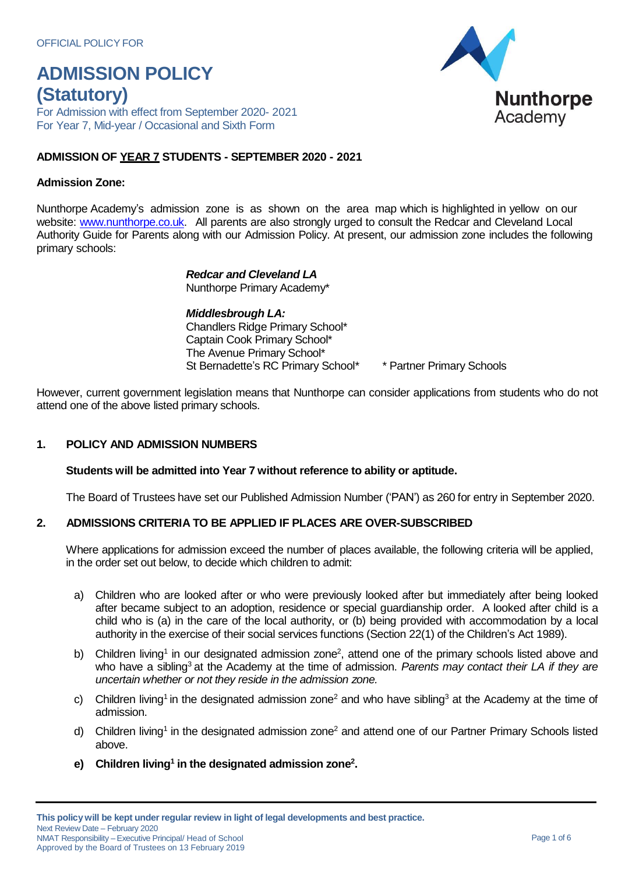For Admission with effect from September 2020- 2021 For Year 7, Mid-year / Occasional and Sixth Form

#### **ADMISSION OF YEAR 7 STUDENTS - SEPTEMBER 2020 - 2021**

#### **Admission Zone:**

Nunthorpe Academy's admission zone is as shown on the area map which is highlighted in yellow on our website: [www.nunthorpe.co.uk.](http://www.nunthorpe.co.uk/) All parents are also strongly urged to consult the Redcar and Cleveland Local Authority Guide for Parents along with our Admission Policy. At present, our admission zone includes the following primary schools:

### *Redcar and Cleveland LA*

Nunthorpe Primary Academy\*

*Middlesbrough LA:* Chandlers Ridge Primary School\* Captain Cook Primary School\* The Avenue Primary School\* St Bernadette's RC Primary School\* \* Partner Primary Schools

However, current government legislation means that Nunthorpe can consider applications from students who do not attend one of the above listed primary schools.

#### **1. POLICY AND ADMISSION NUMBERS**

#### **Students will be admitted into Year 7 without reference to ability or aptitude.**

The Board of Trustees have set our Published Admission Number ('PAN') as 260 for entry in September 2020.

#### **2. ADMISSIONS CRITERIA TO BE APPLIED IF PLACES ARE OVER-SUBSCRIBED**

Where applications for admission exceed the number of places available, the following criteria will be applied, in the order set out below, to decide which children to admit:

- a) Children who are looked after or who were previously looked after but immediately after being looked after became subject to an adoption, residence or special guardianship order. A looked after child is a child who is (a) in the care of the local authority, or (b) being provided with accommodation by a local authority in the exercise of their social services functions (Section 22(1) of the Children's Act 1989).
- b) Children living<sup>1</sup> in our designated admission zone<sup>2</sup>, attend one of the primary schools listed above and who have a sibling<sup>3</sup> at the Academy at the time of admission. *Parents may contact their LA if they are uncertain whether or not they reside in the admission zone.*
- c) Children living<sup>1</sup> in the designated admission zone<sup>2</sup> and who have sibling<sup>3</sup> at the Academy at the time of admission.
- d) Children living<sup>1</sup> in the designated admission zone<sup>2</sup> and attend one of our Partner Primary Schools listed above.
- **e) Children living 1 in the designated admission zone<sup>2</sup> .**

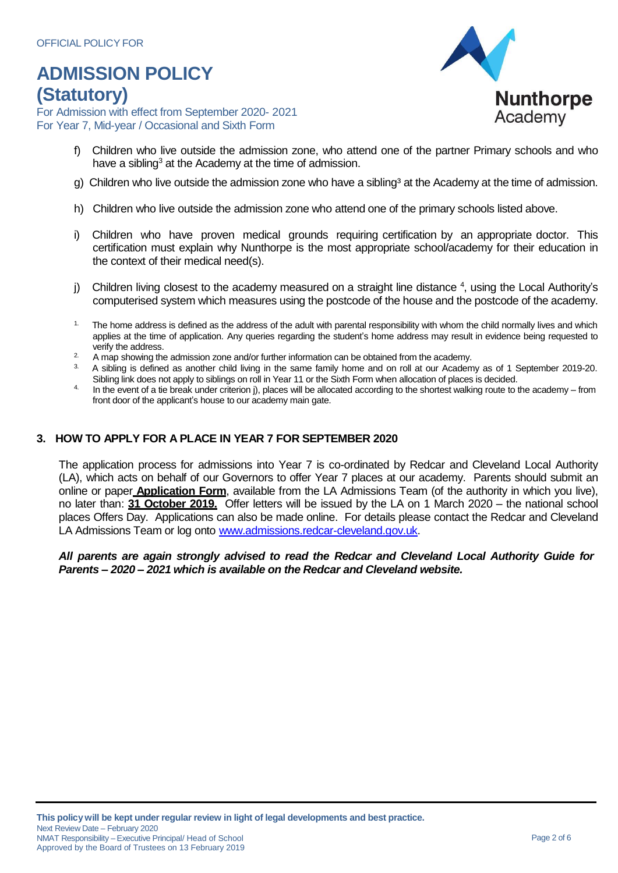For Admission with effect from September 2020- 2021 For Year 7, Mid-year / Occasional and Sixth Form



- f) Children who live outside the admission zone, who attend one of the partner Primary schools and who have a sibling<sup>3</sup> at the Academy at the time of admission.
- g) Children who live outside the admission zone who have a sibling<sup>3</sup> at the Academy at the time of admission.
- h) Children who live outside the admission zone who attend one of the primary schools listed above.
- i) Children who have proven medical grounds requiring certification by an appropriate doctor. This certification must explain why Nunthorpe is the most appropriate school/academy for their education in the context of their medical need(s).
- j) Children living closest to the academy measured on a straight line distance <sup>4</sup>, using the Local Authority's computerised system which measures using the postcode of the house and the postcode of the academy.
- $1.$  The home address is defined as the address of the adult with parental responsibility with whom the child normally lives and which applies at the time of application. Any queries regarding the student's home address may result in evidence being requested to verify the address.
- $2.$  A map showing the admission zone and/or further information can be obtained from the academy.
- 3. A sibling is defined as another child living in the same family home and on roll at our Academy as of 1 September 2019-20. Sibling link does not apply to siblings on roll in Year 11 or the Sixth Form when allocation of places is decided.
- In the event of a tie break under criterion j), places will be allocated according to the shortest walking route to the academy from front door of the applicant's house to our academy main gate.

#### **3. HOW TO APPLY FOR A PLACE IN YEAR 7 FOR SEPTEMBER 2020**

The application process for admissions into Year 7 is co-ordinated by Redcar and Cleveland Local Authority (LA), which acts on behalf of our Governors to offer Year 7 places at our academy. Parents should submit an online or paper **Application Form**, available from the LA Admissions Team (of the authority in which you live), no later than: **31 October 2019.** Offer letters will be issued by the LA on 1 March 2020 – the national school places Offers Day. Applications can also be made online. For details please contact the Redcar and Cleveland LA Admissions Team or log onto [www.admissions.redcar-cleveland.gov.uk.](http://www.admissions.redcar-cleveland.gov.uk/)

#### *All parents are again strongly advised to read the Redcar and Cleveland Local Authority Guide for Parents – 2020 – 2021 which is available on the Redcar and Cleveland website.*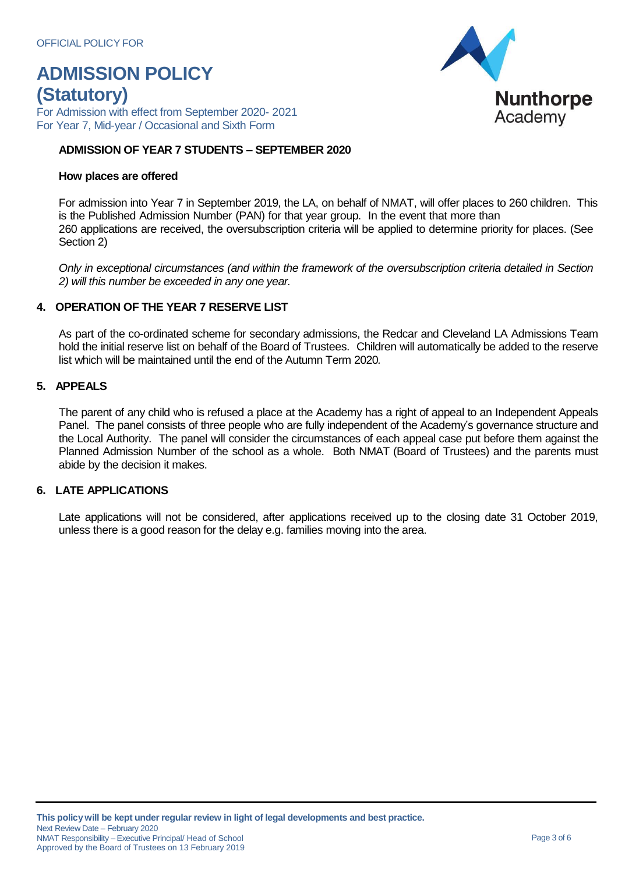For Admission with effect from September 2020- 2021 For Year 7, Mid-year / Occasional and Sixth Form

#### **ADMISSION OF YEAR 7 STUDENTS – SEPTEMBER 2020**

#### **How places are offered**

For admission into Year 7 in September 2019, the LA, on behalf of NMAT, will offer places to 260 children. This is the Published Admission Number (PAN) for that year group. In the event that more than 260 applications are received, the oversubscription criteria will be applied to determine priority for places. (See Section 2)

*Only in exceptional circumstances (and within the framework of the oversubscription criteria detailed in Section 2) will this number be exceeded in any one year.*

#### **4. OPERATION OF THE YEAR 7 RESERVE LIST**

As part of the co-ordinated scheme for secondary admissions, the Redcar and Cleveland LA Admissions Team hold the initial reserve list on behalf of the Board of Trustees. Children will automatically be added to the reserve list which will be maintained until the end of the Autumn Term 2020*.*

#### **5. APPEALS**

The parent of any child who is refused a place at the Academy has a right of appeal to an Independent Appeals Panel. The panel consists of three people who are fully independent of the Academy's governance structure and the Local Authority. The panel will consider the circumstances of each appeal case put before them against the Planned Admission Number of the school as a whole. Both NMAT (Board of Trustees) and the parents must abide by the decision it makes.

#### **6. LATE APPLICATIONS**

Late applications will not be considered, after applications received up to the closing date 31 October 2019, unless there is a good reason for the delay e.g. families moving into the area.

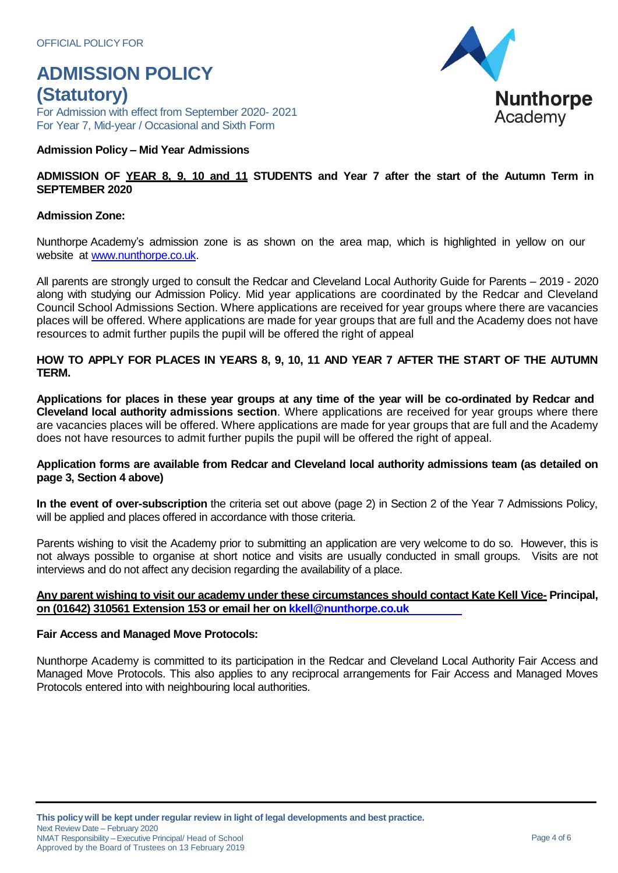For Admission with effect from September 2020- 2021 For Year 7, Mid-year / Occasional and Sixth Form

#### **Admission Policy – Mid Year Admissions**

#### ADMISSION OF YEAR 8, 9, 10 and 11 STUDENTS and Year 7 after the start of the Autumn Term in **SEPTEMBER 2020**

#### **Admission Zone:**

Nunthorpe Academy's admission zone is as shown on the area map, which is highlighted in yellow on our website at [www.nunthorpe.co.uk.](http://www.nunthorpe.co.uk/)

All parents are strongly urged to consult the Redcar and Cleveland Local Authority Guide for Parents – 2019 - 2020 along with studying our Admission Policy. Mid year applications are coordinated by the Redcar and Cleveland Council School Admissions Section. Where applications are received for year groups where there are vacancies places will be offered. Where applications are made for year groups that are full and the Academy does not have resources to admit further pupils the pupil will be offered the right of appeal

#### **HOW TO APPLY FOR PLACES IN YEARS 8, 9, 10, 11 AND YEAR 7 AFTER THE START OF THE AUTUMN TERM.**

Applications for places in these year groups at any time of the year will be co-ordinated by Redcar and **Cleveland local authority admissions section**. Where applications are received for year groups where there are vacancies places will be offered. Where applications are made for year groups that are full and the Academy does not have resources to admit further pupils the pupil will be offered the right of appeal.

#### **Application forms are available from Redcar and Cleveland local authority admissions team (as detailed on page 3, Section 4 above)**

**In the event of over-subscription** the criteria set out above (page 2) in Section 2 of the Year 7 Admissions Policy, will be applied and places offered in accordance with those criteria.

Parents wishing to visit the Academy prior to submitting an application are very welcome to do so. However, this is not always possible to organise at short notice and visits are usually conducted in small groups. Visits are not interviews and do not affect any decision regarding the availability of a place.

#### **Any parent wishing to visit our academy under these circumstances should contact Kate Kell Vice- Principal, on (01642) 310561 Extension 153 or email her on [kkell@nunthorpe.co.uk](mailto:kkell@nunthorpe.co.uk)**

#### **Fair Access and Managed Move Protocols:**

Nunthorpe Academy is committed to its participation in the Redcar and Cleveland Local Authority Fair Access and Managed Move Protocols. This also applies to any reciprocal arrangements for Fair Access and Managed Moves Protocols entered into with neighbouring local authorities.

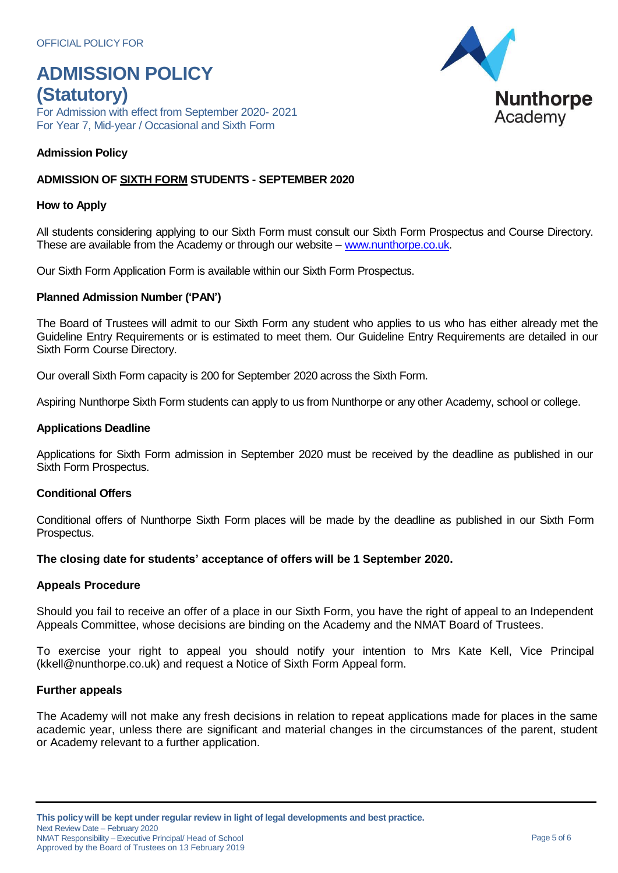For Admission with effect from September 2020- 2021 For Year 7, Mid-year / Occasional and Sixth Form

#### **Admission Policy**

#### **ADMISSION OF SIXTH FORM STUDENTS - SEPTEMBER 2020**

#### **How to Apply**

All students considering applying to our Sixth Form must consult our Sixth Form Prospectus and Course Directory. These are available from the Academy or through our website – [www.nunthorpe.co.uk.](http://www.nunthorpe.co.uk/)

Our Sixth Form Application Form is available within our Sixth Form Prospectus.

#### **Planned Admission Number ('PAN')**

The Board of Trustees will admit to our Sixth Form any student who applies to us who has either already met the Guideline Entry Requirements or is estimated to meet them. Our Guideline Entry Requirements are detailed in our Sixth Form Course Directory.

Our overall Sixth Form capacity is 200 for September 2020 across the Sixth Form.

Aspiring Nunthorpe Sixth Form students can apply to us from Nunthorpe or any other Academy, school or college.

#### **Applications Deadline**

Applications for Sixth Form admission in September 2020 must be received by the deadline as published in our Sixth Form Prospectus.

#### **Conditional Offers**

Conditional offers of Nunthorpe Sixth Form places will be made by the deadline as published in our Sixth Form Prospectus.

#### **The closing date for students' acceptance of offers will be 1 September 2020.**

#### **Appeals Procedure**

Should you fail to receive an offer of a place in our Sixth Form, you have the right of appeal to an Independent Appeals Committee, whose decisions are binding on the Academy and the NMAT Board of Trustees.

To exercise your right to appeal you should notify your intention to Mrs Kate Kell, Vice Principal [\(kkell@nunthorpe.co.uk\)](mailto:kkell@nunthorpe.co.uk) and request a Notice of Sixth Form Appeal form.

#### **Further appeals**

The Academy will not make any fresh decisions in relation to repeat applications made for places in the same academic year, unless there are significant and material changes in the circumstances of the parent, student or Academy relevant to a further application.